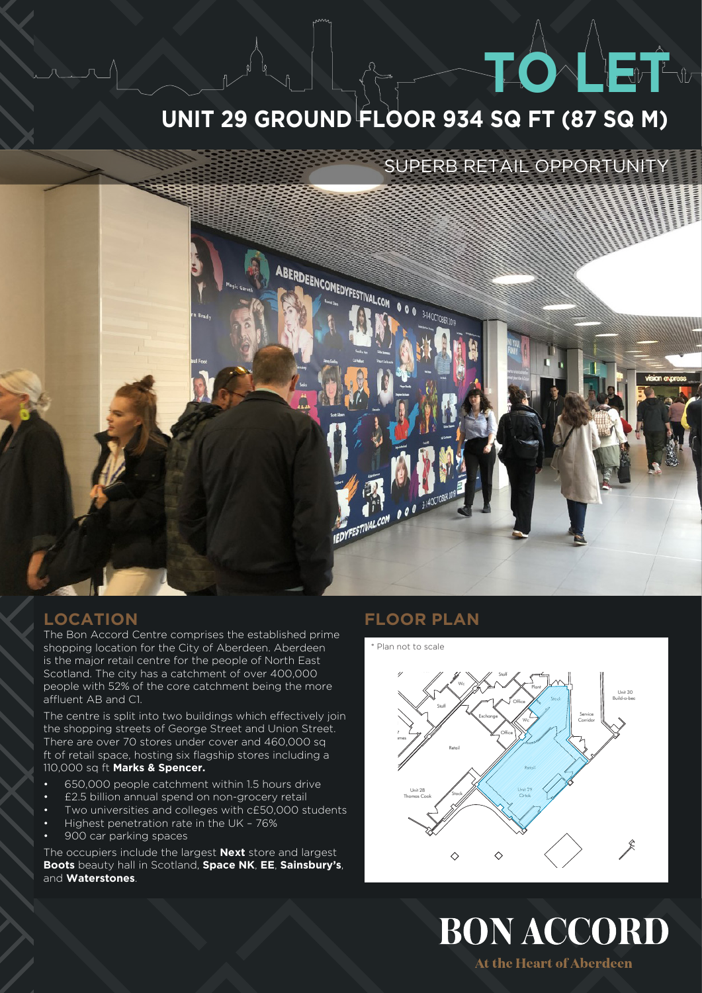# **UNIT 29 GROUND FLOOR 934 SQ FT (87 SQ M)**

## SUPERB RETAIL OPPORTUNITY

**TO LEAD** 



## **LOCATION**

The Bon Accord Centre comprises the established prime shopping location for the City of Aberdeen. Aberdeen is the major retail centre for the people of North East Scotland. The city has a catchment of over 400,000 people with 52% of the core catchment being the more affluent AB and C1.

The centre is split into two buildings which effectively join the shopping streets of George Street and Union Street. There are over 70 stores under cover and 460,000 sq ft of retail space, hosting six flagship stores including a 110,000 sq ft **Marks & Spencer.** 

- 650,000 people catchment within 1.5 hours drive
- £2.5 billion annual spend on non-grocery retail
- Two universities and colleges with c£50,000 students
- Highest penetration rate in the UK 76%
- 900 car parking spaces

The occupiers include the largest **Next** store and largest **Boots** beauty hall in Scotland, **Space NK**, **EE**, **Sainsbury's**, and **Waterstones**.

## **FLOOR PLAN**



At the Heart of Aberdeen

**BON ACCORD** 

Unit 3 O2